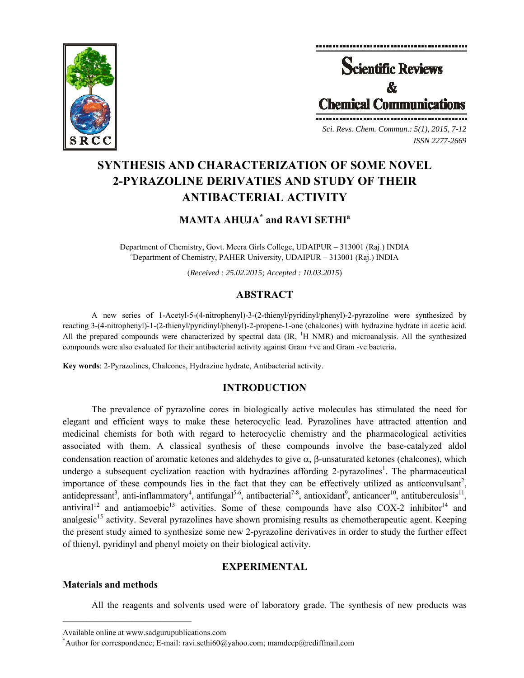



*Sci. Revs. Chem. Commun.: 5(1), 2015, 7-12 ISSN 2277-2669* 

# **SYNTHESIS AND CHARACTERIZATION OF SOME NOVEL 2-PYRAZOLINE DERIVATIES AND STUDY OF THEIR ANTIBACTERIAL ACTIVITY**

# **MAMTA AHUJA\* and RAVI SETHI<sup>a</sup>**

Department of Chemistry, Govt. Meera Girls College, UDAIPUR – 313001 (Raj.) INDIA Department of Chemistry, PAHER University, UDAIPUR – 313001 (Raj.) INDIA

(*Received : 25.02.2015; Accepted : 10.03.2015*)

# **ABSTRACT**

A new series of 1-Acetyl-5-(4-nitrophenyl)-3-(2-thienyl/pyridinyl/phenyl)-2-pyrazoline were synthesized by reacting 3-(4-nitrophenyl)-1-(2-thienyl/pyridinyl/phenyl)-2-propene-1-one (chalcones) with hydrazine hydrate in acetic acid. All the prepared compounds were characterized by spectral data (IR, <sup>1</sup>H NMR) and microanalysis. All the synthesized compounds were also evaluated for their antibacterial activity against Gram +ve and Gram -ve bacteria.

**Key words**: 2-Pyrazolines, Chalcones, Hydrazine hydrate, Antibacterial activity.

# **INTRODUCTION**

The prevalence of pyrazoline cores in biologically active molecules has stimulated the need for elegant and efficient ways to make these heterocyclic lead. Pyrazolines have attracted attention and medicinal chemists for both with regard to heterocyclic chemistry and the pharmacological activities associated with them. A classical synthesis of these compounds involve the base-catalyzed aldol condensation reaction of aromatic ketones and aldehydes to give  $\alpha$ ,  $\beta$ -unsaturated ketones (chalcones), which undergo a subsequent cyclization reaction with hydrazines affording 2-pyrazolines<sup>1</sup>. The pharmaceutical importance of these compounds lies in the fact that they can be effectively utilized as anticonvulsant<sup>2</sup>, antidepressant<sup>3</sup>, anti-inflammatory<sup>4</sup>, antifungal<sup>5-6</sup>, antibacterial<sup>7-8</sup>, antioxidant<sup>9</sup>, anticancer<sup>10</sup>, antituberculosis<sup>11</sup>, antiviral<sup>12</sup> and antiamoebic<sup>13</sup> activities. Some of these compounds have also COX-2 inhibitor<sup>14</sup> and analgesic<sup>15</sup> activity. Several pyrazolines have shown promising results as chemotherapeutic agent. Keeping the present study aimed to synthesize some new 2-pyrazoline derivatives in order to study the further effect of thienyl, pyridinyl and phenyl moiety on their biological activity.

# **EXPERIMENTAL**

# **Materials and methods**

All the reagents and solvents used were of laboratory grade. The synthesis of new products was

 $\mathcal{L} = \{ \mathcal{L} \}$ 

Available online at www.sadgurupublications.com \*

<sup>\*</sup>Author for correspondence; E-mail: ravi.sethi60@yahoo.com; mamdeep@rediffmail.com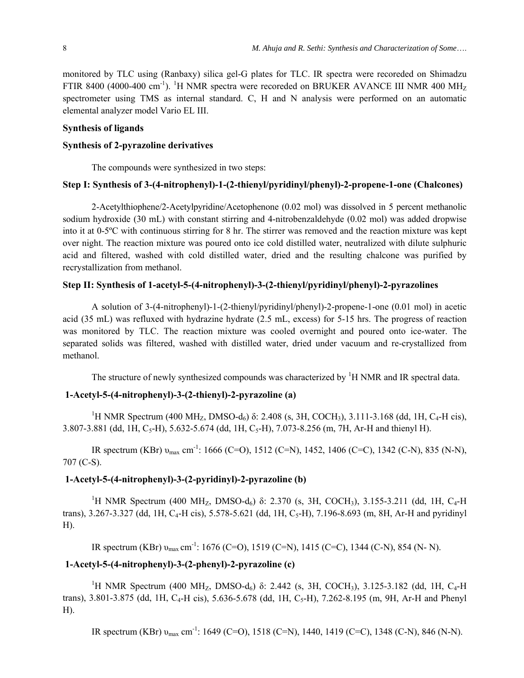monitored by TLC using (Ranbaxy) silica gel-G plates for TLC. IR spectra were recoreded on Shimadzu FTIR 8400 (4000-400 cm<sup>-1</sup>). <sup>1</sup>H NMR spectra were recoreded on BRUKER AVANCE III NMR 400 MH<sub>Z</sub> spectrometer using TMS as internal standard. C, H and N analysis were performed on an automatic elemental analyzer model Vario EL III.

# **Synthesis of ligands**

### **Synthesis of 2-pyrazoline derivatives**

The compounds were synthesized in two steps:

# **Step I: Synthesis of 3-(4-nitrophenyl)-1-(2-thienyl/pyridinyl/phenyl)-2-propene-1-one (Chalcones)**

2-Acetylthiophene/2-Acetylpyridine/Acetophenone (0.02 mol) was dissolved in 5 percent methanolic sodium hydroxide (30 mL) with constant stirring and 4-nitrobenzaldehyde (0.02 mol) was added dropwise into it at 0-5ºC with continuous stirring for 8 hr. The stirrer was removed and the reaction mixture was kept over night. The reaction mixture was poured onto ice cold distilled water, neutralized with dilute sulphuric acid and filtered, washed with cold distilled water, dried and the resulting chalcone was purified by recrystallization from methanol.

# **Step II: Synthesis of 1-acetyl-5-(4-nitrophenyl)-3-(2-thienyl/pyridinyl/phenyl)-2-pyrazolines**

A solution of 3-(4-nitrophenyl)-1-(2-thienyl/pyridinyl/phenyl)-2-propene-1-one (0.01 mol) in acetic acid (35 mL) was refluxed with hydrazine hydrate (2.5 mL, excess) for 5-15 hrs. The progress of reaction was monitored by TLC. The reaction mixture was cooled overnight and poured onto ice-water. The separated solids was filtered, washed with distilled water, dried under vacuum and re-crystallized from methanol.

The structure of newly synthesized compounds was characterized by <sup>1</sup>H NMR and IR spectral data.

# **1-Acetyl-5-(4-nitrophenyl)-3-(2-thienyl)-2-pyrazoline (a)**

<sup>1</sup>H NMR Spectrum (400 MH<sub>Z</sub>, DMSO-d<sub>6</sub>) δ: 2.408 (s, 3H, COCH<sub>3</sub>), 3.111-3.168 (dd, 1H, C<sub>4</sub>-H cis), 3.807-3.881 (dd, 1H, C<sub>5</sub>-H), 5.632-5.674 (dd, 1H, C<sub>5</sub>-H), 7.073-8.256 (m, 7H, Ar-H and thienyl H).

IR spectrum (KBr)  $v_{\text{max}}$  cm<sup>-1</sup>: 1666 (C=O), 1512 (C=N), 1452, 1406 (C=C), 1342 (C-N), 835 (N-N), 707 (C-S).

# **1-Acetyl-5-(4-nitrophenyl)-3-(2-pyridinyl)-2-pyrazoline (b)**

<sup>1</sup>H NMR Spectrum (400 MH<sub>Z</sub>, DMSO-d<sub>6</sub>) δ: 2.370 (s, 3H, COCH<sub>3</sub>), 3.155-3.211 (dd, 1H, C<sub>4</sub>-H trans), 3.267-3.327 (dd, 1H, C<sub>4</sub>-H cis), 5.578-5.621 (dd, 1H, C<sub>5</sub>-H), 7.196-8.693 (m, 8H, Ar-H and pyridinyl H).

IR spectrum (KBr) υmax cm-1: 1676 (C=O), 1519 (C=N), 1415 (C=C), 1344 (C-N), 854 (N- N).

# **1-Acetyl-5-(4-nitrophenyl)-3-(2-phenyl)-2-pyrazoline (c)**

<sup>1</sup>H NMR Spectrum (400 MH<sub>Z</sub>, DMSO-d<sub>6</sub>) δ: 2.442 (s, 3H, COCH<sub>3</sub>), 3.125-3.182 (dd, 1H, C<sub>4</sub>-H trans), 3.801-3.875 (dd, 1H, C<sub>4</sub>-H cis), 5.636-5.678 (dd, 1H, C<sub>5</sub>-H), 7.262-8.195 (m, 9H, Ar-H and Phenyl H).

IR spectrum (KBr) υmax cm-1: 1649 (C=O), 1518 (C=N), 1440, 1419 (C=C), 1348 (C-N), 846 (N-N).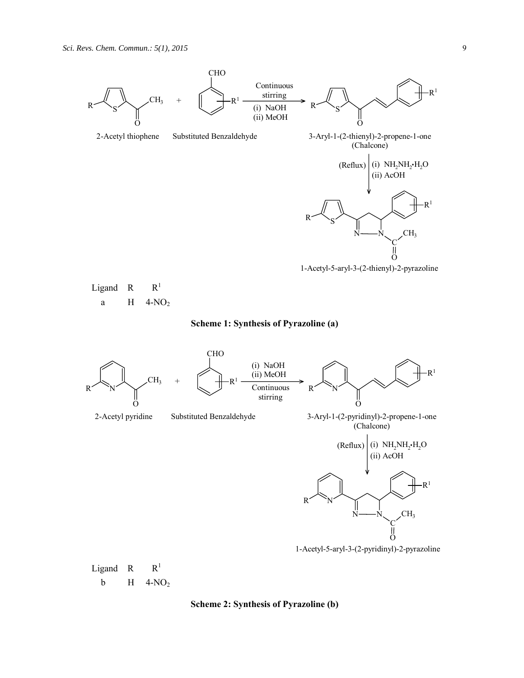



1-Acetyl-5-aryl-3-(2-pyridinyl)-2-pyrazoline

Ligand R  $R^1$ b  $H$  4-NO<sub>2</sub>

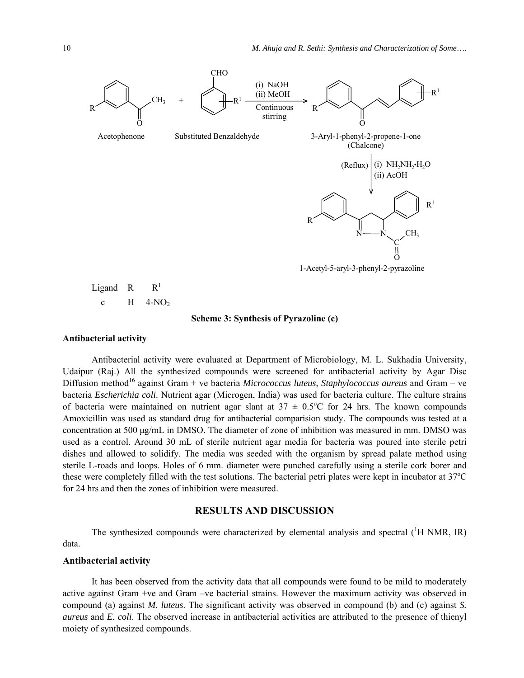

$$
\begin{array}{ccc}\n\text{Ligand} & R & R^1 \\
\text{c} & H & 4-NO_2\n\end{array}
$$

#### **Scheme 3: Synthesis of Pyrazoline (c)**

#### **Antibacterial activity**

Antibacterial activity were evaluated at Department of Microbiology, M. L. Sukhadia University, Udaipur (Raj.) All the synthesized compounds were screened for antibacterial activity by Agar Disc Diffusion method16 against Gram + ve bacteria *Micrococcus luteus*, *Staphylococcus aureus* and Gram – ve bacteria *Escherichia coli*. Nutrient agar (Microgen, India) was used for bacteria culture. The culture strains of bacteria were maintained on nutrient agar slant at  $37 \pm 0.5^{\circ}$ C for 24 hrs. The known compounds Amoxicillin was used as standard drug for antibacterial comparision study. The compounds was tested at a concentration at 500 μg/mL in DMSO. The diameter of zone of inhibition was measured in mm. DMSO was used as a control. Around 30 mL of sterile nutrient agar media for bacteria was poured into sterile petri dishes and allowed to solidify. The media was seeded with the organism by spread palate method using sterile L-roads and loops. Holes of 6 mm. diameter were punched carefully using a sterile cork borer and these were completely filled with the test solutions. The bacterial petri plates were kept in incubator at 37°C for 24 hrs and then the zones of inhibition were measured.

# **RESULTS AND DISCUSSION**

The synthesized compounds were characterized by elemental analysis and spectral  $(^1H$  NMR, IR) data.

### **Antibacterial activity**

It has been observed from the activity data that all compounds were found to be mild to moderately active against Gram +ve and Gram –ve bacterial strains. However the maximum activity was observed in compound (a) against *M. luteus*. The significant activity was observed in compound (b) and (c) against *S. aureus* and *E. coli*. The observed increase in antibacterial activities are attributed to the presence of thienyl moiety of synthesized compounds.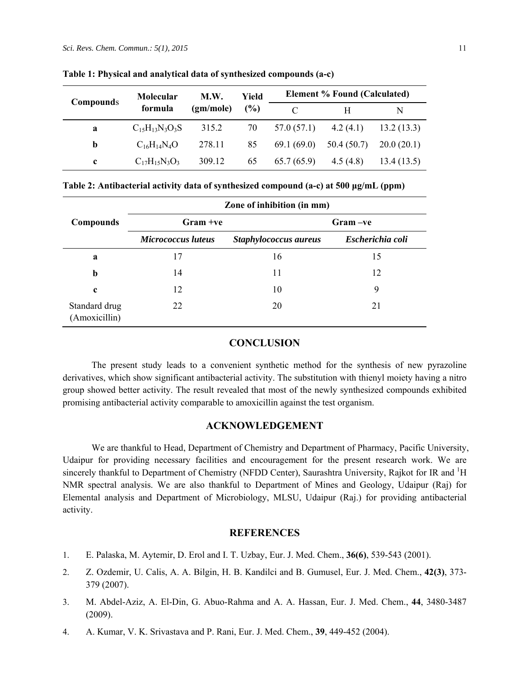| Compounds | <b>Molecular</b>      | M.W.      | Yield<br>(%)<br>$\mathcal{C}$ | <b>Element % Found (Calculated)</b> |            |            |
|-----------|-----------------------|-----------|-------------------------------|-------------------------------------|------------|------------|
|           | formula               | (gm/mole) |                               |                                     | H          | N          |
| a         | $C_{15}H_{13}N_3O_3S$ | 315.2     | 70                            | 57.0 (57.1)                         | 4.2(4.1)   | 13.2(13.3) |
| b         | $C_{16}H_{14}N_4O$    | 278.11    | 85                            | 69.1(69.0)                          | 50.4(50.7) | 20.0(20.1) |
| c         | $C_{17}H_{15}N_3O_3$  | 309.12    | 65                            | 65.7(65.9)                          | 4.5 (4.8)  | 13.4(13.5) |

**Table 1: Physical and analytical data of synthesized compounds (a-c)** 

| Table 2: Antibacterial activity data of synthesized compound (a-c) at 500 µg/mL (ppm) |  |  |
|---------------------------------------------------------------------------------------|--|--|
|                                                                                       |  |  |

|                                | Zone of inhibition (in mm) |                       |                  |  |  |  |
|--------------------------------|----------------------------|-----------------------|------------------|--|--|--|
| <b>Compounds</b>               | $Gram +ve$                 |                       | Gram –ve         |  |  |  |
|                                | Micrococcus luteus         | Staphylococcus aureus | Escherichia coli |  |  |  |
| a                              | 17                         | 16                    | 15               |  |  |  |
| $\mathbf b$                    | 14                         | 11                    | 12               |  |  |  |
| $\mathbf c$                    | 12                         | 10                    | 9                |  |  |  |
| Standard drug<br>(Amoxicillin) | 22                         | 20                    | 21               |  |  |  |

# **CONCLUSION**

The present study leads to a convenient synthetic method for the synthesis of new pyrazoline derivatives, which show significant antibacterial activity. The substitution with thienyl moiety having a nitro group showed better activity. The result revealed that most of the newly synthesized compounds exhibited promising antibacterial activity comparable to amoxicillin against the test organism.

# **ACKNOWLEDGEMENT**

We are thankful to Head, Department of Chemistry and Department of Pharmacy, Pacific University, Udaipur for providing necessary facilities and encouragement for the present research work. We are sincerely thankful to Department of Chemistry (NFDD Center), Saurashtra University, Rajkot for IR and <sup>1</sup>H NMR spectral analysis. We are also thankful to Department of Mines and Geology, Udaipur (Raj) for Elemental analysis and Department of Microbiology, MLSU, Udaipur (Raj.) for providing antibacterial activity.

# **REFERENCES**

- 1. E. Palaska, M. Aytemir, D. Erol and I. T. Uzbay, Eur. J. Med. Chem., **36(6)**, 539-543 (2001).
- 2. Z. Ozdemir, U. Calis, A. A. Bilgin, H. B. Kandilci and B. Gumusel, Eur. J. Med. Chem., **42(3)**, 373- 379 (2007).
- 3. M. Abdel-Aziz, A. El-Din, G. Abuo-Rahma and A. A. Hassan, Eur. J. Med. Chem., **44**, 3480-3487 (2009).
- 4. A. Kumar, V. K. Srivastava and P. Rani, Eur. J. Med. Chem., **39**, 449-452 (2004).